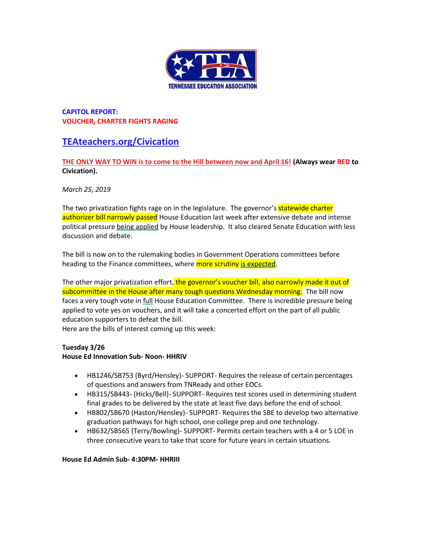

# **CAPITOL REPORT: VOUCHER, CHARTER FIGHTS RAGING**

# **[TEAteachers.org/Civication](http://teateachers.org/Civication)**

# **[THE ONLY WAY TO WIN is to come to the Hill between now and April 16!](http://www.teateachers.org/tea-civication-registration) (Always wear RED to Civication).**

*March 25, 2019*

The two privatization fights rage on in the legislature. The governor's **statewide charter** authorizer bill narrowly passed House Education last week after extensive debate and intense political pressure being applied by House leadership. It also cleared Senate Education with less discussion and debate.

The bill is now on to the rulemaking bodies in Government Operations committees before heading to the Finance committees, where **more scrutiny is expected**.

The other major privatization effort, the governor's voucher bill, also narrowly made it out of subcommittee in the House after many tough questions Wednesday morning. The bill now faces a very tough vote in full House Education Committee. There is incredible pressure being applied to vote yes on vouchers, and it will take a concerted effort on the part of all public education supporters to defeat the bill.

Here are the bills of interest coming up this week:

# **Tuesday 3/26**

# **House Ed Innovation Sub- Noon- HHRIV**

- HB1246/SB753 (Byrd/Hensley)- SUPPORT- Requires the release of certain percentages of questions and answers from TNReady and other EOCs.
- HB315/SB443- (Hicks/Bell)- SUPPORT- Requires test scores used in determining student final grades to be delivered by the state at least five days before the end of school.
- HB802/SB670 (Haston/Hensley)- SUPPORT- Requires the SBE to develop two alternative graduation pathways for high school, one college prep and one technology.
- HB632/SB565 (Terry/Bowling)- SUPPORT- Permits certain teachers with a 4 or 5 LOE in three consecutive years to take that score for future years in certain situations.

#### **House Ed Admin Sub- 4:30PM- HHRIII**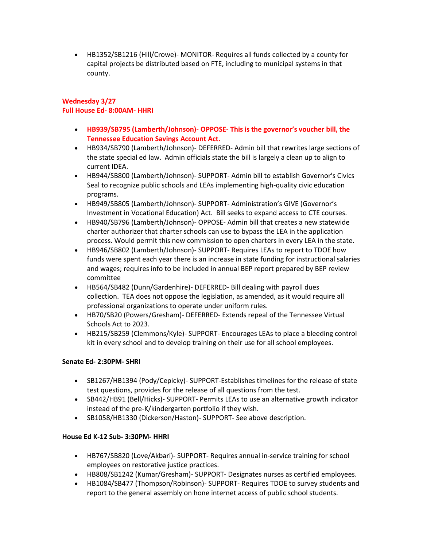• HB1352/SB1216 (Hill/Crowe)- MONITOR- Requires all funds collected by a county for capital projects be distributed based on FTE, including to municipal systems in that county.

### **Wednesday 3/27 Full House Ed- 8:00AM- HHRI**

- **HB939/SB795 (Lamberth/Johnson)- OPPOSE- This is the governor's voucher bill, the Tennessee Education Savings Account Act.**
- HB934/SB790 (Lamberth/Johnson)- DEFERRED- Admin bill that rewrites large sections of the state special ed law. Admin officials state the bill is largely a clean up to align to current IDEA.
- HB944/SB800 (Lamberth/Johnson)- SUPPORT- Admin bill to establish Governor's Civics Seal to recognize public schools and LEAs implementing high-quality civic education programs.
- HB949/SB805 (Lamberth/Johnson)- SUPPORT- Administration's GIVE (Governor's Investment in Vocational Education) Act. Bill seeks to expand access to CTE courses.
- HB940/SB796 (Lamberth/Johnson)- OPPOSE- Admin bill that creates a new statewide charter authorizer that charter schools can use to bypass the LEA in the application process. Would permit this new commission to open charters in every LEA in the state.
- HB946/SB802 (Lamberth/Johnson)- SUPPORT- Requires LEAs to report to TDOE how funds were spent each year there is an increase in state funding for instructional salaries and wages; requires info to be included in annual BEP report prepared by BEP review committee
- HB564/SB482 (Dunn/Gardenhire)- DEFERRED- Bill dealing with payroll dues collection. TEA does not oppose the legislation, as amended, as it would require all professional organizations to operate under uniform rules.
- HB70/SB20 (Powers/Gresham)- DEFERRED- Extends repeal of the Tennessee Virtual Schools Act to 2023.
- HB215/SB259 (Clemmons/Kyle)- SUPPORT- Encourages LEAs to place a bleeding control kit in every school and to develop training on their use for all school employees.

# **Senate Ed- 2:30PM- SHRI**

- SB1267/HB1394 (Pody/Cepicky)- SUPPORT-Establishes timelines for the release of state test questions, provides for the release of all questions from the test.
- SB442/HB91 (Bell/Hicks)- SUPPORT- Permits LEAs to use an alternative growth indicator instead of the pre-K/kindergarten portfolio if they wish.
- SB1058/HB1330 (Dickerson/Haston)- SUPPORT- See above description.

# **House Ed K-12 Sub- 3:30PM- HHRI**

- HB767/SB820 (Love/Akbari)- SUPPORT- Requires annual in-service training for school employees on restorative justice practices.
- HB808/SB1242 (Kumar/Gresham)- SUPPORT- Designates nurses as certified employees.
- HB1084/SB477 (Thompson/Robinson)- SUPPORT- Requires TDOE to survey students and report to the general assembly on hone internet access of public school students.